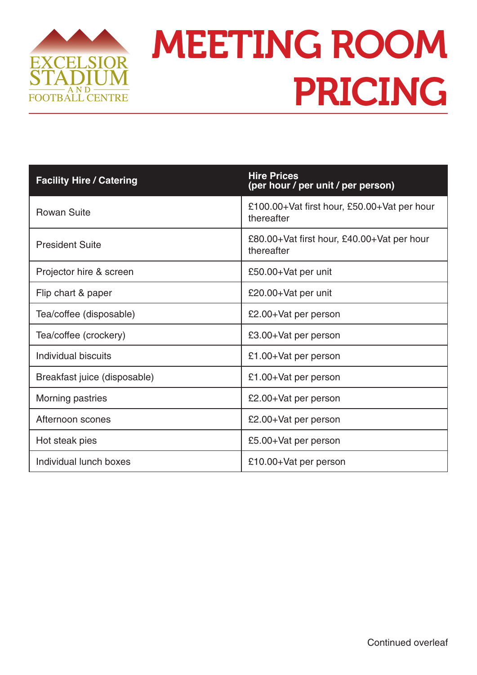

## MEETING ROOM PRICING

| <b>Facility Hire / Catering</b> | <b>Hire Prices</b><br>(per hour / per unit / per person)  |
|---------------------------------|-----------------------------------------------------------|
| <b>Rowan Suite</b>              | £100.00+Vat first hour, £50.00+Vat per hour<br>thereafter |
| <b>President Suite</b>          | £80.00+Vat first hour, £40.00+Vat per hour<br>thereafter  |
| Projector hire & screen         | £50.00+Vat per unit                                       |
| Flip chart & paper              | £20.00+Vat per unit                                       |
| Tea/coffee (disposable)         | £2.00+Vat per person                                      |
| Tea/coffee (crockery)           | £3.00+Vat per person                                      |
| Individual biscuits             | £1.00+Vat per person                                      |
| Breakfast juice (disposable)    | £1.00+Vat per person                                      |
| Morning pastries                | £2.00+Vat per person                                      |
| Afternoon scones                | £2.00+Vat per person                                      |
| Hot steak pies                  | £5.00+Vat per person                                      |
| Individual lunch boxes          | £10.00+Vat per person                                     |